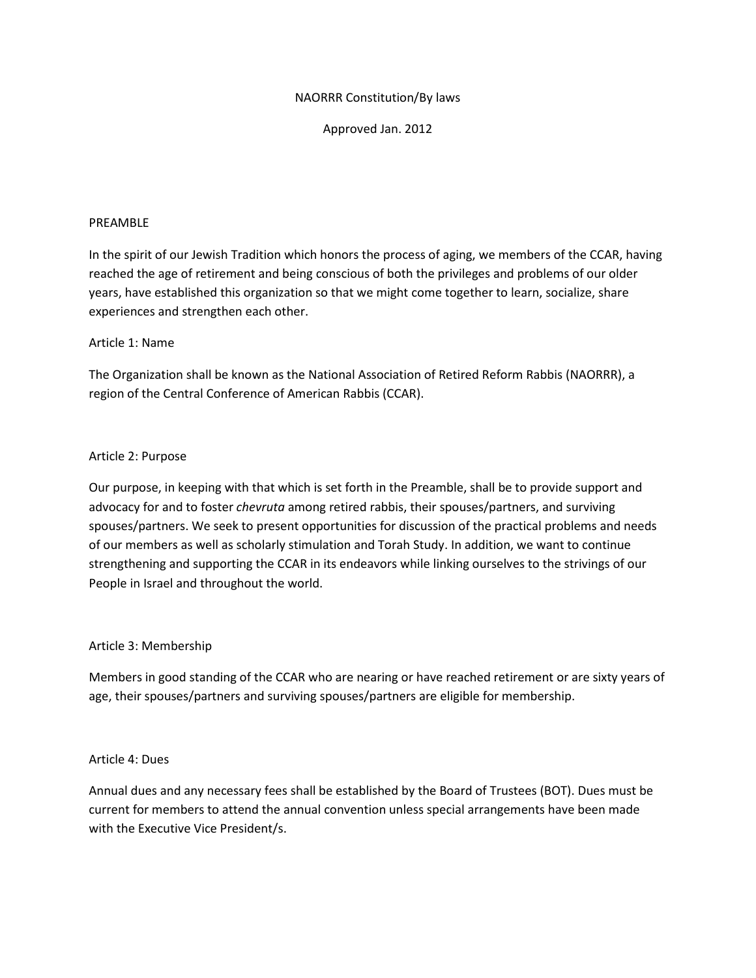# NAORRR Constitution/By laws

Approved Jan. 2012

## PREAMBLE

In the spirit of our Jewish Tradition which honors the process of aging, we members of the CCAR, having reached the age of retirement and being conscious of both the privileges and problems of our older years, have established this organization so that we might come together to learn, socialize, share experiences and strengthen each other.

## Article 1: Name

The Organization shall be known as the National Association of Retired Reform Rabbis (NAORRR), a region of the Central Conference of American Rabbis (CCAR).

## Article 2: Purpose

Our purpose, in keeping with that which is set forth in the Preamble, shall be to provide support and advocacy for and to foster *chevruta* among retired rabbis, their spouses/partners, and surviving spouses/partners. We seek to present opportunities for discussion of the practical problems and needs of our members as well as scholarly stimulation and Torah Study. In addition, we want to continue strengthening and supporting the CCAR in its endeavors while linking ourselves to the strivings of our People in Israel and throughout the world.

## Article 3: Membership

Members in good standing of the CCAR who are nearing or have reached retirement or are sixty years of age, their spouses/partners and surviving spouses/partners are eligible for membership.

#### Article 4: Dues

Annual dues and any necessary fees shall be established by the Board of Trustees (BOT). Dues must be current for members to attend the annual convention unless special arrangements have been made with the Executive Vice President/s.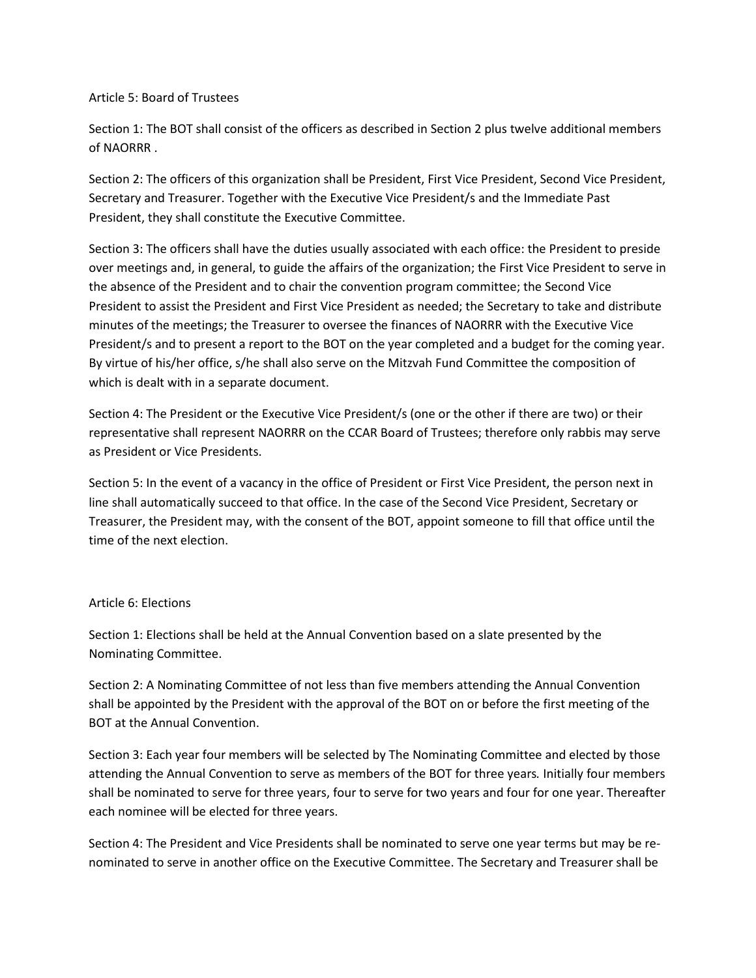Article 5: Board of Trustees

Section 1: The BOT shall consist of the officers as described in Section 2 plus twelve additional members of NAORRR .

Section 2: The officers of this organization shall be President, First Vice President, Second Vice President, Secretary and Treasurer. Together with the Executive Vice President/s and the Immediate Past President, they shall constitute the Executive Committee.

Section 3: The officers shall have the duties usually associated with each office: the President to preside over meetings and, in general, to guide the affairs of the organization; the First Vice President to serve in the absence of the President and to chair the convention program committee; the Second Vice President to assist the President and First Vice President as needed; the Secretary to take and distribute minutes of the meetings; the Treasurer to oversee the finances of NAORRR with the Executive Vice President/s and to present a report to the BOT on the year completed and a budget for the coming year. By virtue of his/her office, s/he shall also serve on the Mitzvah Fund Committee the composition of which is dealt with in a separate document.

Section 4: The President or the Executive Vice President/s (one or the other if there are two) or their representative shall represent NAORRR on the CCAR Board of Trustees; therefore only rabbis may serve as President or Vice Presidents.

Section 5: In the event of a vacancy in the office of President or First Vice President, the person next in line shall automatically succeed to that office. In the case of the Second Vice President, Secretary or Treasurer, the President may, with the consent of the BOT, appoint someone to fill that office until the time of the next election.

# Article 6: Elections

Section 1: Elections shall be held at the Annual Convention based on a slate presented by the Nominating Committee.

Section 2: A Nominating Committee of not less than five members attending the Annual Convention shall be appointed by the President with the approval of the BOT on or before the first meeting of the BOT at the Annual Convention.

Section 3: Each year four members will be selected by The Nominating Committee and elected by those attending the Annual Convention to serve as members of the BOT for three years*.* Initially four members shall be nominated to serve for three years, four to serve for two years and four for one year. Thereafter each nominee will be elected for three years.

Section 4: The President and Vice Presidents shall be nominated to serve one year terms but may be renominated to serve in another office on the Executive Committee. The Secretary and Treasurer shall be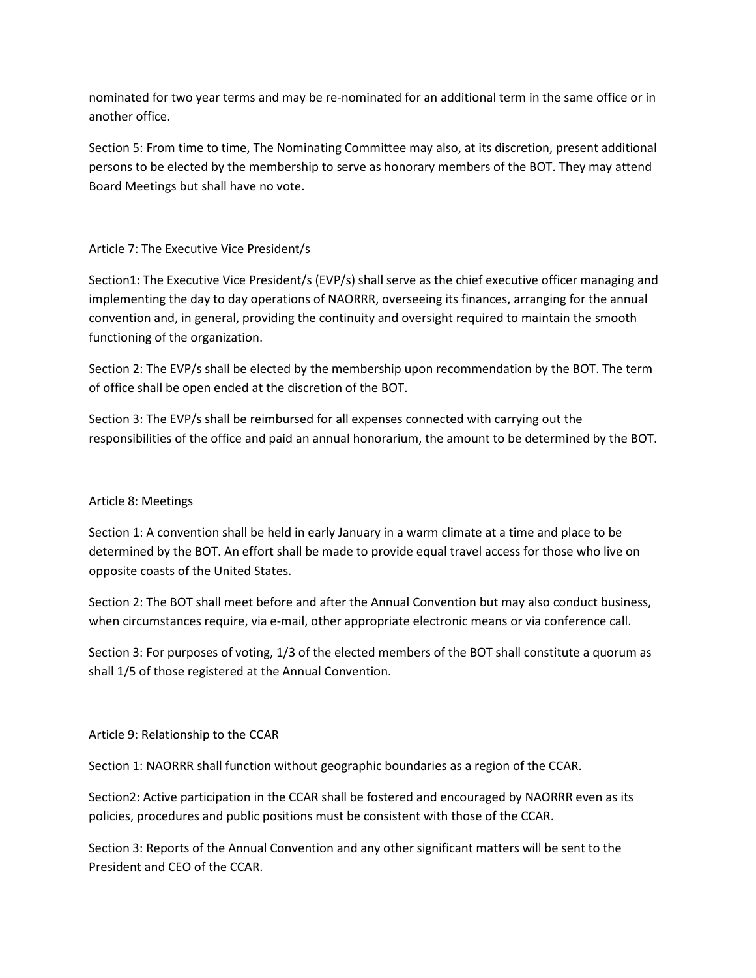nominated for two year terms and may be re-nominated for an additional term in the same office or in another office.

Section 5: From time to time, The Nominating Committee may also, at its discretion, present additional persons to be elected by the membership to serve as honorary members of the BOT. They may attend Board Meetings but shall have no vote.

# Article 7: The Executive Vice President/s

Section1: The Executive Vice President/s (EVP/s) shall serve as the chief executive officer managing and implementing the day to day operations of NAORRR, overseeing its finances, arranging for the annual convention and, in general, providing the continuity and oversight required to maintain the smooth functioning of the organization.

Section 2: The EVP/s shall be elected by the membership upon recommendation by the BOT. The term of office shall be open ended at the discretion of the BOT.

Section 3: The EVP/s shall be reimbursed for all expenses connected with carrying out the responsibilities of the office and paid an annual honorarium, the amount to be determined by the BOT.

# Article 8: Meetings

Section 1: A convention shall be held in early January in a warm climate at a time and place to be determined by the BOT. An effort shall be made to provide equal travel access for those who live on opposite coasts of the United States.

Section 2: The BOT shall meet before and after the Annual Convention but may also conduct business, when circumstances require, via e-mail, other appropriate electronic means or via conference call.

Section 3: For purposes of voting, 1/3 of the elected members of the BOT shall constitute a quorum as shall 1/5 of those registered at the Annual Convention.

# Article 9: Relationship to the CCAR

Section 1: NAORRR shall function without geographic boundaries as a region of the CCAR.

Section2: Active participation in the CCAR shall be fostered and encouraged by NAORRR even as its policies, procedures and public positions must be consistent with those of the CCAR.

Section 3: Reports of the Annual Convention and any other significant matters will be sent to the President and CEO of the CCAR.